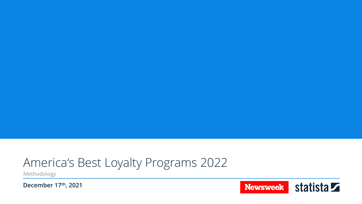## America's Best Loyalty Programs 2022

Methodology

**December 17th, 2021**

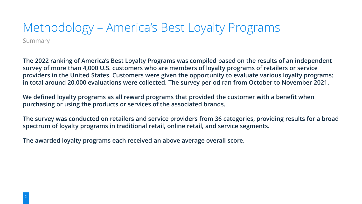### Summary Methodology – America's Best Loyalty Programs

**The 2022 ranking of America's Best Loyalty Programs was compiled based on the results of an independent survey of more than 4,000 U.S. customers who are members of loyalty programs of retailers or service providers in the United States. Customers were given the opportunity to evaluate various loyalty programs: in total around 20,000 evaluations were collected. The survey period ran from October to November 2021.**

**We defined loyalty programs as all reward programs that provided the customer with a benefit when purchasing or using the products or services of the associated brands.**

**The survey was conducted on retailers and service providers from 36 categories, providing results for a broad spectrum of loyalty programs in traditional retail, online retail, and service segments.**

**The awarded loyalty programs each received an above average overall score.**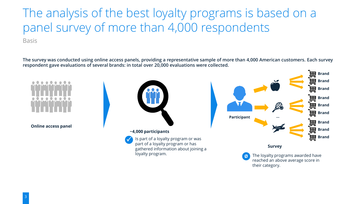The analysis of the best loyalty programs is based on a panel survey of more than 4,000 respondents

Basis

**The survey was conducted using online access panels, providing a representative sample of more than 4,000 American customers. Each survey respondent gave evaluations of several brands: in total over 20,000 evaluations were collected.**

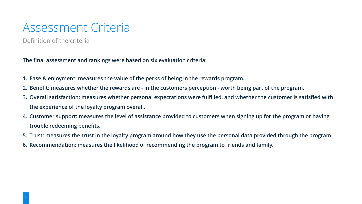### Assessment Criteria

Definition of the criteria

**The final assessment and rankings were based on six evaluation criteria:**

- **1. Ease & enjoyment: measures the value of the perks of being in the rewards program.**
- **2. Benefit: measures whether the rewards are - in the customers perception - worth being part of the program.**
- **3. Overall satisfaction: measures whether personal expectations were fulfilled, and whether the customer is satisfied with the experience of the loyalty program overall.**
- **4. Customer support: measures the level of assistance provided to customers when signing up for the program or having trouble redeeming benefits.**
- **5. Trust: measures the trust in the loyalty program around how they use the personal data provided through the program.**
- **6. Recommendation: measures the likelihood of recommending the program to friends and family.**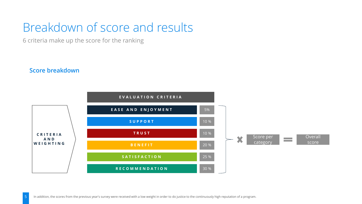## Breakdown of score and results

6 criteria make up the score for the ranking

#### **Score breakdown**

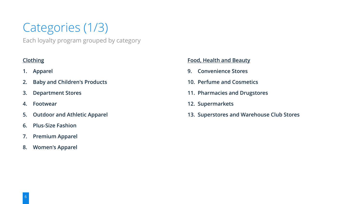# Categories (1/3)

Each loyalty program grouped by category

#### **Clothing**

- **1. Apparel**
- **2. Baby and Children's Products**
- **3. Department Stores**
- **4. Footwear**
- **5. Outdoor and Athletic Apparel**
- **6. Plus-Size Fashion**
- **7. Premium Apparel**
- **8. Women's Apparel**

#### **Food, Health and Beauty**

- **9. Convenience Stores**
- **10. Perfume and Cosmetics**
- **11. Pharmacies and Drugstores**
- **12. Supermarkets**
- **13. Superstores and Warehouse Club Stores**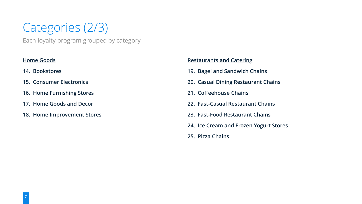# Categories (2/3)

Each loyalty program grouped by category

#### **Home Goods**

- **14. Bookstores**
- **15. Consumer Electronics**
- **16. Home Furnishing Stores**
- **17. Home Goods and Decor**
- **18. Home Improvement Stores**

#### **Restaurants and Catering**

- **19. Bagel and Sandwich Chains**
- **20. Casual Dining Restaurant Chains**
- **21. Coffeehouse Chains**
- **22. Fast-Casual Restaurant Chains**
- **23. Fast-Food Restaurant Chains**
- **24. Ice Cream and Frozen Yogurt Stores**
- **25. Pizza Chains**